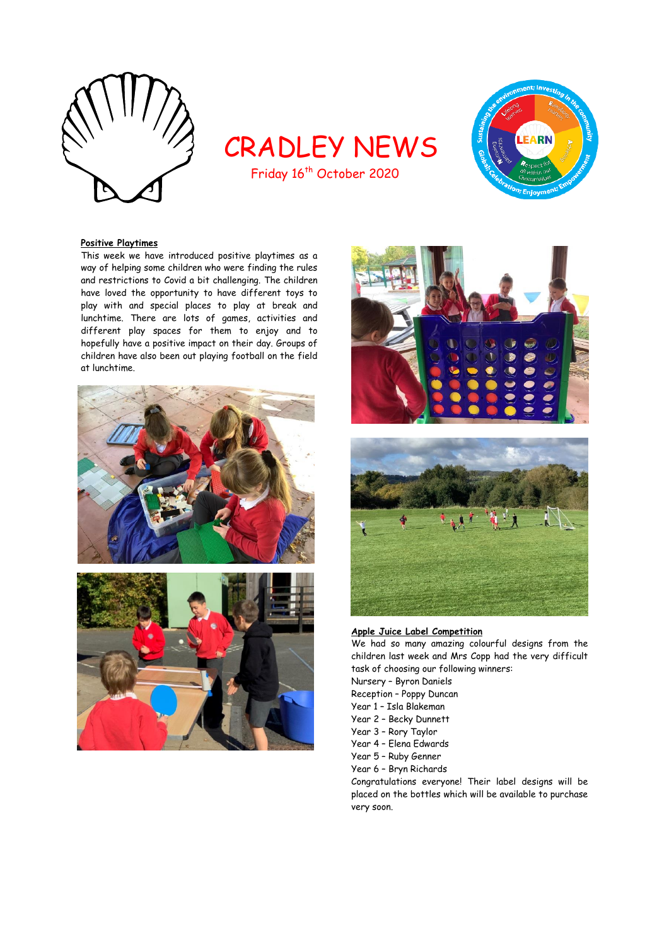

# CRADLEY NEWS



# Friday 16<sup>th</sup> October 2020

# **Positive Playtimes**

This week we have introduced positive playtimes as a way of helping some children who were finding the rules and restrictions to Covid a bit challenging. The children have loved the opportunity to have different toys to play with and special places to play at break and lunchtime. There are lots of games, activities and different play spaces for them to enjoy and to hopefully have a positive impact on their day. Groups of children have also been out playing football on the field at lunchtime.







**Apple Juice Label Competition**

We had so many amazing colourful designs from the children last week and Mrs Copp had the very difficult task of choosing our following winners: Nursery – Byron Daniels

- Reception Poppy Duncan
- Year 1 Isla Blakeman
- Year 2 Becky Dunnett
- Year 3 Rory Taylor
- Year 4 Elena Edwards
- Year 5 Ruby Genner
- Year 6 Bryn Richards

Congratulations everyone! Their label designs will be placed on the bottles which will be available to purchase very soon.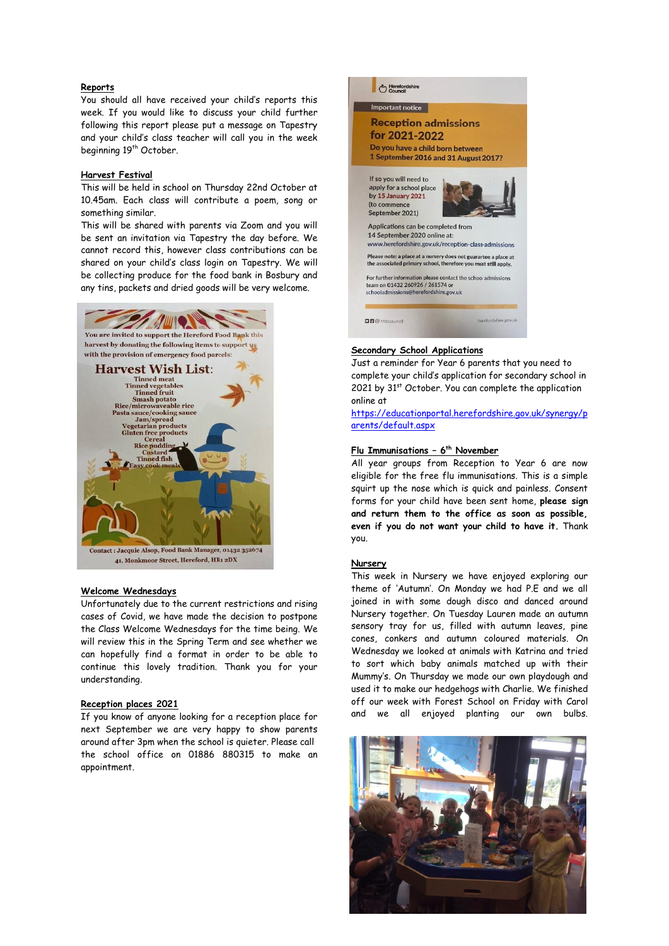# **Reports**

You should all have received your child's reports this week. If you would like to discuss your child further following this report please put a message on Tapestry and your child's class teacher will call you in the week beginning 19<sup>th</sup> October.

#### **Harvest Festival**

This will be held in school on Thursday 22nd October at 10.45am. Each class will contribute a poem, song or something similar.

This will be shared with parents via Zoom and you will be sent an invitation via Tapestry the day before. We cannot record this, however class contributions can be shared on your child's class login on Tapestry. We will be collecting produce for the food bank in Bosbury and any tins, packets and dried goods will be very welcome.



#### **Welcome Wednesdays**

Unfortunately due to the current restrictions and rising cases of Covid, we have made the decision to postpone the Class Welcome Wednesdays for the time being. We will review this in the Spring Term and see whether we can hopefully find a format in order to be able to continue this lovely tradition. Thank you for your understanding.

# **Reception places 2021**

If you know of anyone looking for a reception place for next September we are very happy to show parents around after 3pm when the school is quieter. Please call the school office on 01886 880315 to make an appointment.



# **Secondary School Applications**

Just a reminder for Year 6 parents that you need to complete your child's application for secondary school in 2021 by 31<sup>st</sup> October. You can complete the application online at

[https://educationportal.herefordshire.gov.uk/synergy/p](https://educationportal.herefordshire.gov.uk/synergy/parents/default.aspx) [arents/default.aspx](https://educationportal.herefordshire.gov.uk/synergy/parents/default.aspx)

#### **Flu Immunisations – 6 th November**

All year groups from Reception to Year 6 are now eligible for the free flu immunisations. This is a simple squirt up the nose which is quick and painless. Consent forms for your child have been sent home, **please sign and return them to the office as soon as possible, even if you do not want your child to have it.** Thank you.

#### **Nursery**

This week in Nursery we have enjoyed exploring our theme of 'Autumn'. On Monday we had P.E and we all joined in with some dough disco and danced around Nursery together. On Tuesday Lauren made an autumn sensory tray for us, filled with autumn leaves, pine cones, conkers and autumn coloured materials. On Wednesday we looked at animals with Katrina and tried to sort which baby animals matched up with their Mummy's. On Thursday we made our own playdough and used it to make our hedgehogs with Charlie. We finished off our week with Forest School on Friday with Carol and we all enjoyed planting our own bulbs.